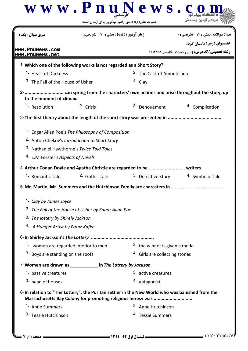|                                                                                                  |                                                                 | www.PnuNews.<br>حضرت علی(ع): دانش راهبر نیکویی برای ایمان است                                                                                                 |                                                                            |
|--------------------------------------------------------------------------------------------------|-----------------------------------------------------------------|---------------------------------------------------------------------------------------------------------------------------------------------------------------|----------------------------------------------------------------------------|
| <b>سری سوال :</b> یک ۱<br>www.PnuNews.com                                                        | <b>زمان آزمون (دقیقه) : تستی : 70 ٪ تشریحی : 0</b>              |                                                                                                                                                               | تعداد سوالات : تستى : 30 ٪ تشريحي : 0<br><b>عنـــوان درس:</b> داستان کوتاه |
| www.PnuNews.net                                                                                  |                                                                 |                                                                                                                                                               | <b>رشته تحصیلی/کد درس:</b> زبان وادبیات انگلیسی ۱۲۱۲۱۲۸                    |
| 1-Which one of the following works is not regarded as a Short Story?                             |                                                                 |                                                                                                                                                               |                                                                            |
| 1. Heart of Darkness                                                                             |                                                                 | <sup>2</sup> The Cask of Amontillado                                                                                                                          |                                                                            |
| <sup>3.</sup> The Fall of the House of Usher                                                     |                                                                 | 4. Clay                                                                                                                                                       |                                                                            |
| to the moment of climax.                                                                         |                                                                 |                                                                                                                                                               |                                                                            |
| 1. Resolution                                                                                    | 2. Crisis                                                       | 3. Denouement                                                                                                                                                 | 4. Complication                                                            |
|                                                                                                  |                                                                 | 3- The first theory about the length of the short story was presented in                                                                                      |                                                                            |
| 3. Nathaniel Hawthorne's Twice Told Tales<br><sup>4.</sup> E.M.Forster's Aspects of Novels       | <sup>2.</sup> Anton Chekov's Introduction to Short Story        | 4-Arthur Conan Doyle and Agatha Christie are regarded to be  writers.                                                                                         |                                                                            |
| <sup>1.</sup> Romantic Tale <sup>2.</sup> Gothic Tale                                            |                                                                 | 3. Detective Story                                                                                                                                            | 4. Symbolic Tale                                                           |
|                                                                                                  |                                                                 | 5-Mr. Martin, Mr. Summers and the Hutchinson Family are charcaters in.                                                                                        |                                                                            |
| 1. Clay by James Joyce<br>3. The lottery by Shirely Jackson<br>4. A Hunger Artist by Franz Kafka | <sup>2.</sup> The Fall of the House of Usher by Edgar Allan Poe |                                                                                                                                                               |                                                                            |
|                                                                                                  |                                                                 |                                                                                                                                                               |                                                                            |
| 1. women are regarded inferior to men                                                            |                                                                 | 2. the winner is given a medal                                                                                                                                |                                                                            |
| 3. Boys are standing on the roofs                                                                |                                                                 | <sup>4.</sup> Girls are collecting stones                                                                                                                     |                                                                            |
| 7-Women are drawn as ____________ in The Lottery by Jackson.                                     |                                                                 |                                                                                                                                                               |                                                                            |
| 1. passive creatures                                                                             |                                                                 | 2. active creatures                                                                                                                                           |                                                                            |
| 3. head of houses                                                                                |                                                                 | 4. antagonist                                                                                                                                                 |                                                                            |
|                                                                                                  |                                                                 | 8-In relation to "The Lottery", the Puritan settler in the New World who was banished from the<br>Massachusetts Bay Colony for promoting religious heresy was |                                                                            |
| 1. Anne Summers                                                                                  |                                                                 | 2. Anne Hutchinson                                                                                                                                            |                                                                            |
| 3. Tessie Hutchinson                                                                             |                                                                 | 4. Tessie Summers                                                                                                                                             |                                                                            |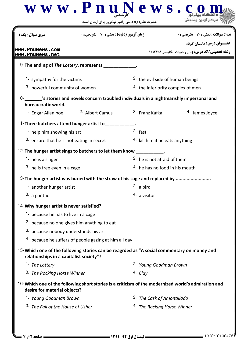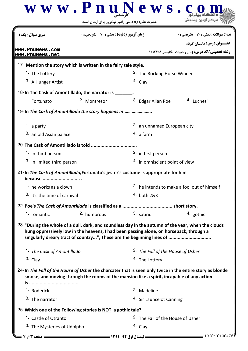|                                                                                               | www.PnuNews.c                                                                                                                                                    |                                                        |                                                                                                          |  |
|-----------------------------------------------------------------------------------------------|------------------------------------------------------------------------------------------------------------------------------------------------------------------|--------------------------------------------------------|----------------------------------------------------------------------------------------------------------|--|
|                                                                                               | حضرت علی(ع): دانش راهبر نیکویی برای ایمان است                                                                                                                    |                                                        |                                                                                                          |  |
| <b>سری سوال :</b> یک                                                                          | <b>زمان آزمون (دقیقه) : تستی : 70 ٪ تشریحی: 0</b>                                                                                                                |                                                        | تعداد سوالات : تستي : 30 ٪ تشريحي : 0                                                                    |  |
|                                                                                               |                                                                                                                                                                  |                                                        | <b>عنـــوان درس:</b> داستان کوتاه                                                                        |  |
| www.PnuNews.com<br>www.PnuNews.net                                                            |                                                                                                                                                                  |                                                        | <b>رشته تحصیلی/کد درس: زبان وادبیات انگلیسی ۱۲۱۲۱۲۸</b>                                                  |  |
| 17- Mention the story which is written in the fairy tale style.                               |                                                                                                                                                                  |                                                        |                                                                                                          |  |
| 1. The Lottery                                                                                |                                                                                                                                                                  | <sup>2.</sup> The Rocking Horse Winner                 |                                                                                                          |  |
| 3. A Hunger Artist                                                                            |                                                                                                                                                                  | 4. Clay                                                |                                                                                                          |  |
| 18-In The Cask of Amontillado, the narrator is .                                              |                                                                                                                                                                  |                                                        |                                                                                                          |  |
| 1. Fortunato                                                                                  | 2. Montresor                                                                                                                                                     | 3. Edgar Allan Poe                                     | 4. Luchesi                                                                                               |  |
| 19-In The Cask of Amontillado the story happens in                                            |                                                                                                                                                                  |                                                        |                                                                                                          |  |
| 1. a party                                                                                    |                                                                                                                                                                  | 2. an unnamed European city                            |                                                                                                          |  |
| 3. an old Asian palace                                                                        |                                                                                                                                                                  | $4.$ a farm                                            |                                                                                                          |  |
| 20-The Cask of Amontillado is told                                                            |                                                                                                                                                                  |                                                        |                                                                                                          |  |
| 1. in third person                                                                            |                                                                                                                                                                  | 2. in first person                                     |                                                                                                          |  |
| 3. in limited third person                                                                    |                                                                                                                                                                  |                                                        | 4. in omniscient point of view                                                                           |  |
| 21-In The Cask of Amontillado, Fortunato's jester's costume is appropriate for him<br>because |                                                                                                                                                                  |                                                        |                                                                                                          |  |
| 1. he works as a clown                                                                        |                                                                                                                                                                  | <sup>2.</sup> he intends to make a fool out of himself |                                                                                                          |  |
| 3. it's the time of carnival                                                                  |                                                                                                                                                                  | 4. both 2&3                                            |                                                                                                          |  |
|                                                                                               |                                                                                                                                                                  |                                                        |                                                                                                          |  |
| 1. romantic                                                                                   | 2. humorous                                                                                                                                                      | 3. satiric                                             | 4. gothic                                                                                                |  |
|                                                                                               | hung oppressively low in the heavens, I had been passing alone, on horseback, through a<br>singularly dreary tract of country", These are the beginning lines of |                                                        | 23-"During the whole of a dull, dark, and soundless day in the autumn of the year, when the clouds       |  |
| 1. The Cask of Amontillado                                                                    |                                                                                                                                                                  | <sup>2.</sup> The Fall of the House of Usher           |                                                                                                          |  |
| 3. Clay                                                                                       |                                                                                                                                                                  | <sup>4.</sup> The Lottery                              |                                                                                                          |  |
|                                                                                               | smoke, and moving through the rooms of the mansion like a spirit, incapable of any action                                                                        |                                                        | 24-In The Fall of the House of Usher the charcater that is seen only twice in the entire story as blonde |  |
| 1. Roderick                                                                                   |                                                                                                                                                                  | 2. Madeline                                            |                                                                                                          |  |
| 3. The narrator                                                                               |                                                                                                                                                                  | <sup>4.</sup> Sir Launcelot Canning                    |                                                                                                          |  |
| 25-Which one of the Following stories is NOT a gothic tale?                                   |                                                                                                                                                                  |                                                        |                                                                                                          |  |
| 1. Castle of Otranto                                                                          |                                                                                                                                                                  |                                                        | <sup>2</sup> The Fall of the House of Usher                                                              |  |
| 3. The Mysteries of Udolpho                                                                   |                                                                                                                                                                  | 4. Clay                                                |                                                                                                          |  |
| ـــــ صفحه ۱۳ از ۴                                                                            |                                                                                                                                                                  |                                                        | 1010/10106478                                                                                            |  |